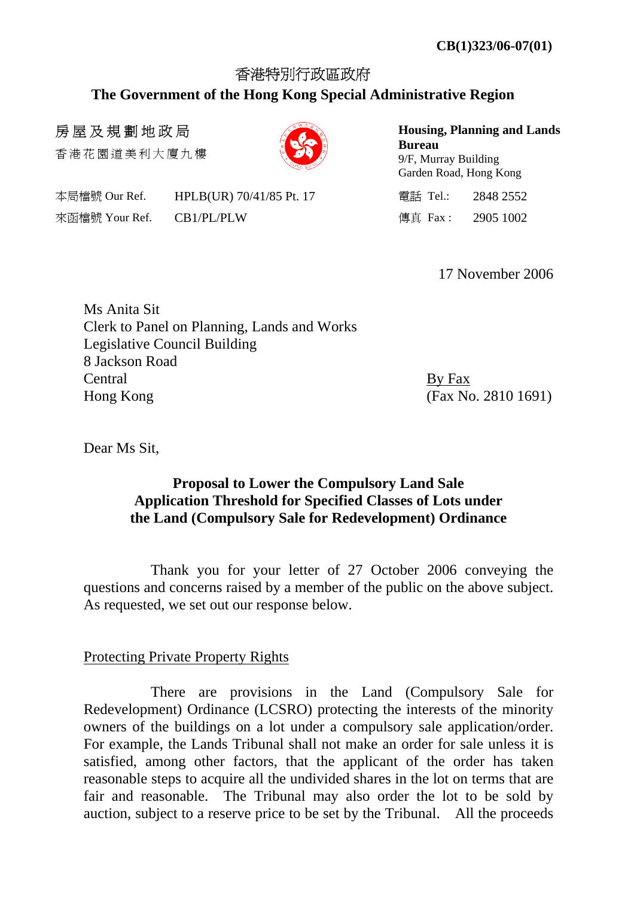# 香港特別行政區政府 **The Government of the Hong Kong Special Administrative Region**

# 房屋及規劃地政局

香港花園道美利大廈九樓

本局檔號 Our Ref. HPLB(UR) 70/41/85 Pt. 17 Tel.: 2848 2552 來函檔號 Your Ref. (CB1/PL/PLW ) (1999) (1902) (1902) (1902) (1902) (1902) (1902) (1902) (1902) (1902) (1902) (1902) (1902) (1902) (1902) (1902) (1902) (1902) (1902) (1902) (1902) (1902) (1902) (1902) (1902) (1902) (1902) (19

**Housing, Planning and Lands Bureau**  9/F, Murray Building Garden Road, Hong Kong

17 November 2006

| Ms Anita Sit                                |         |
|---------------------------------------------|---------|
| Clerk to Panel on Planning, Lands and Works |         |
| Legislative Council Building                |         |
| 8 Jackson Road                              |         |
| Central                                     | By Fax  |
| Hong Kong                                   | (Fax N) |

(Fax No. 2810 1691)

Dear Ms Sit,

# **Proposal to Lower the Compulsory Land Sale Application Threshold for Specified Classes of Lots under the Land (Compulsory Sale for Redevelopment) Ordinance**

 Thank you for your letter of 27 October 2006 conveying the questions and concerns raised by a member of the public on the above subject. As requested, we set out our response below.

# Protecting Private Property Rights

 There are provisions in the Land (Compulsory Sale for Redevelopment) Ordinance (LCSRO) protecting the interests of the minority owners of the buildings on a lot under a compulsory sale application/order. For example, the Lands Tribunal shall not make an order for sale unless it is satisfied, among other factors, that the applicant of the order has taken reasonable steps to acquire all the undivided shares in the lot on terms that are fair and reasonable. The Tribunal may also order the lot to be sold by auction, subject to a reserve price to be set by the Tribunal. All the proceeds

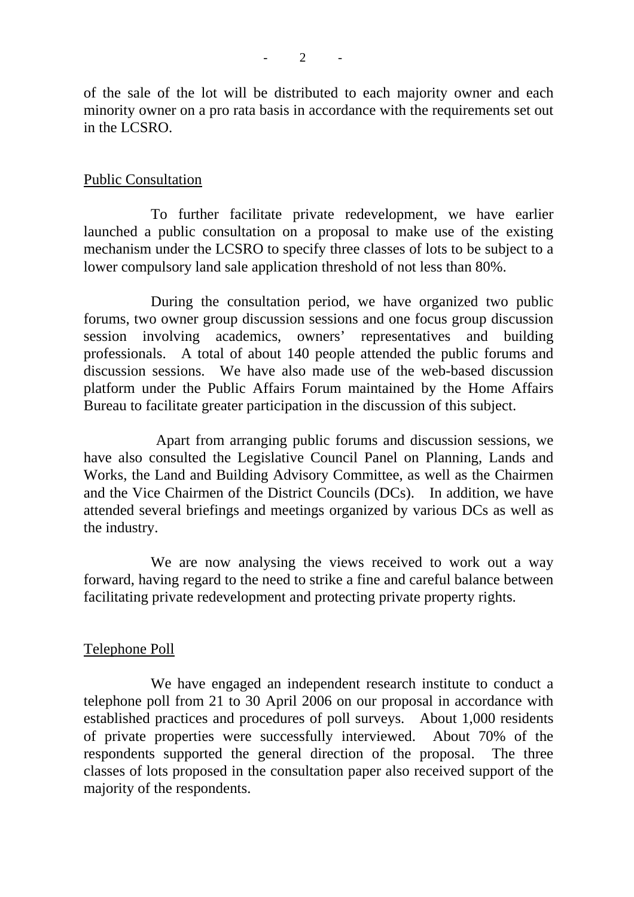of the sale of the lot will be distributed to each majority owner and each minority owner on a pro rata basis in accordance with the requirements set out in the LCSRO.

#### Public Consultation

 To further facilitate private redevelopment, we have earlier launched a public consultation on a proposal to make use of the existing mechanism under the LCSRO to specify three classes of lots to be subject to a lower compulsory land sale application threshold of not less than 80%.

 During the consultation period, we have organized two public forums, two owner group discussion sessions and one focus group discussion session involving academics, owners' representatives and building professionals. A total of about 140 people attended the public forums and discussion sessions. We have also made use of the web-based discussion platform under the Public Affairs Forum maintained by the Home Affairs Bureau to facilitate greater participation in the discussion of this subject.

 Apart from arranging public forums and discussion sessions, we have also consulted the Legislative Council Panel on Planning, Lands and Works, the Land and Building Advisory Committee, as well as the Chairmen and the Vice Chairmen of the District Councils (DCs). In addition, we have attended several briefings and meetings organized by various DCs as well as the industry.

We are now analysing the views received to work out a way forward, having regard to the need to strike a fine and careful balance between facilitating private redevelopment and protecting private property rights.

#### Telephone Poll

 We have engaged an independent research institute to conduct a telephone poll from 21 to 30 April 2006 on our proposal in accordance with established practices and procedures of poll surveys. About 1,000 residents of private properties were successfully interviewed. About 70% of the respondents supported the general direction of the proposal. The three classes of lots proposed in the consultation paper also received support of the majority of the respondents.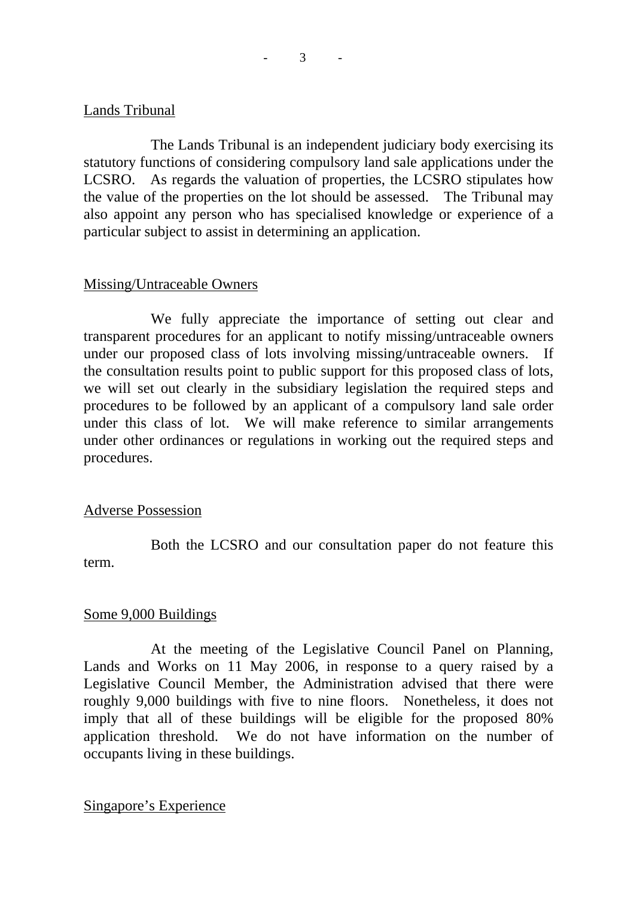## Lands Tribunal

 The Lands Tribunal is an independent judiciary body exercising its statutory functions of considering compulsory land sale applications under the LCSRO. As regards the valuation of properties, the LCSRO stipulates how the value of the properties on the lot should be assessed. The Tribunal may also appoint any person who has specialised knowledge or experience of a particular subject to assist in determining an application.

## Missing/Untraceable Owners

 We fully appreciate the importance of setting out clear and transparent procedures for an applicant to notify missing/untraceable owners under our proposed class of lots involving missing/untraceable owners. If the consultation results point to public support for this proposed class of lots, we will set out clearly in the subsidiary legislation the required steps and procedures to be followed by an applicant of a compulsory land sale order under this class of lot. We will make reference to similar arrangements under other ordinances or regulations in working out the required steps and procedures.

## Adverse Possession

 Both the LCSRO and our consultation paper do not feature this term.

## Some 9,000 Buildings

 At the meeting of the Legislative Council Panel on Planning, Lands and Works on 11 May 2006, in response to a query raised by a Legislative Council Member, the Administration advised that there were roughly 9,000 buildings with five to nine floors. Nonetheless, it does not imply that all of these buildings will be eligible for the proposed 80% application threshold. We do not have information on the number of occupants living in these buildings.

Singapore's Experience